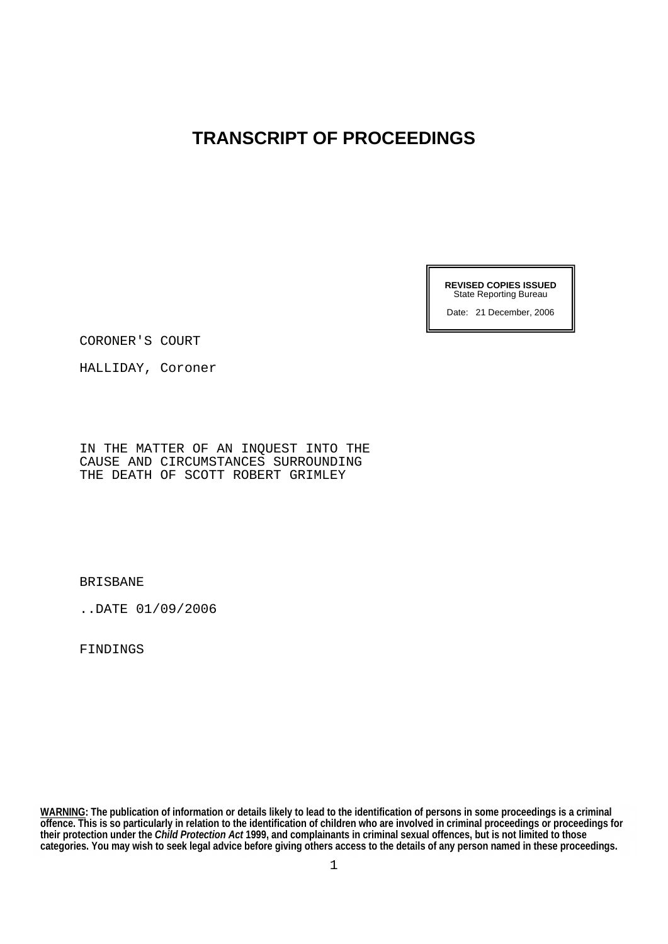# **TRANSCRIPT OF PROCEEDINGS**

**REVISED COPIES ISSUED**  State Reporting Bureau

Date: 21 December, 2006

CORONER'S COURT

HALLIDAY, Coroner

IN THE MATTER OF AN INQUEST INTO THE CAUSE AND CIRCUMSTANCES SURROUNDING THE DEATH OF SCOTT ROBERT GRIMLEY

BRISBANE

..DATE 01/09/2006

**FINDINGS** 

**WARNING: The publication of information or details likely to lead to the identification of persons in some proceedings is a criminal offence. This is so particularly in relation to the identification of children who are involved in criminal proceedings or proceedings for their protection under the** *Child Protection Act* **1999, and complainants in criminal sexual offences, but is not limited to those categories. You may wish to seek legal advice before giving others access to the details of any person named in these proceedings.**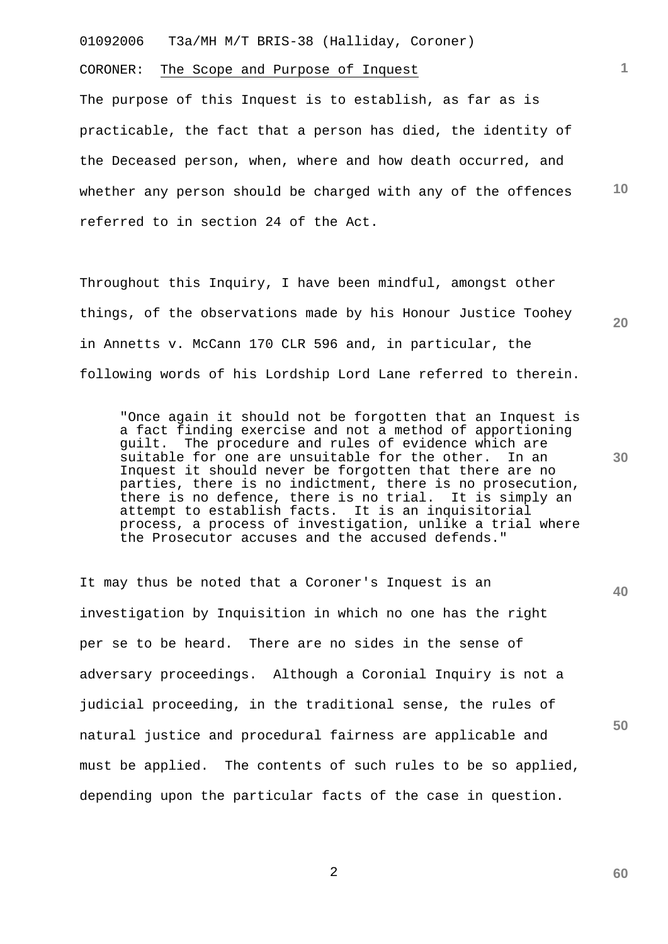CORONER: The Scope and Purpose of Inquest

**10** The purpose of this Inquest is to establish, as far as is practicable, the fact that a person has died, the identity of the Deceased person, when, where and how death occurred, and whether any person should be charged with any of the offences referred to in section 24 of the Act.

**1**

**20**

**30**

**60**

Throughout this Inquiry, I have been mindful, amongst other things, of the observations made by his Honour Justice Toohey in Annetts v. McCann 170 CLR 596 and, in particular, the following words of his Lordship Lord Lane referred to therein.

"Once again it should not be forgotten that an Inquest is a fact finding exercise and not a method of apportioning guilt. The procedure and rules of evidence which are suitable for one are unsuitable for the other. In an Inquest it should never be forgotten that there are no parties, there is no indictment, there is no prosecution, there is no defence, there is no trial. It is simply an attempt to establish facts. It is an inquisitorial process, a process of investigation, unlike a trial where the Prosecutor accuses and the accused defends."

**40 50** It may thus be noted that a Coroner's Inquest is an investigation by Inquisition in which no one has the right per se to be heard. There are no sides in the sense of adversary proceedings. Although a Coronial Inquiry is not a judicial proceeding, in the traditional sense, the rules of natural justice and procedural fairness are applicable and must be applied. The contents of such rules to be so applied, depending upon the particular facts of the case in question.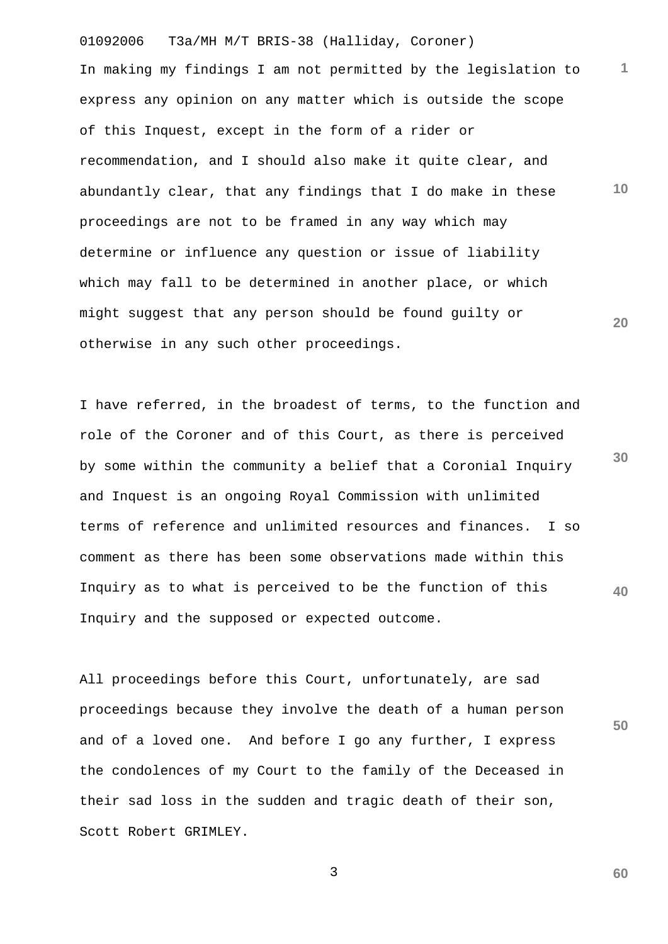01092006 T3a/MH M/T BRIS-38 (Halliday, Coroner) **1 10 20** In making my findings I am not permitted by the legislation to express any opinion on any matter which is outside the scope of this Inquest, except in the form of a rider or recommendation, and I should also make it quite clear, and abundantly clear, that any findings that I do make in these proceedings are not to be framed in any way which may determine or influence any question or issue of liability which may fall to be determined in another place, or which might suggest that any person should be found guilty or otherwise in any such other proceedings.

**30 40** I have referred, in the broadest of terms, to the function and role of the Coroner and of this Court, as there is perceived by some within the community a belief that a Coronial Inquiry and Inquest is an ongoing Royal Commission with unlimited terms of reference and unlimited resources and finances. I so comment as there has been some observations made within this Inquiry as to what is perceived to be the function of this Inquiry and the supposed or expected outcome.

All proceedings before this Court, unfortunately, are sad proceedings because they involve the death of a human person and of a loved one. And before I go any further, I express the condolences of my Court to the family of the Deceased in their sad loss in the sudden and tragic death of their son, Scott Robert GRIMLEY.

**50**

**60**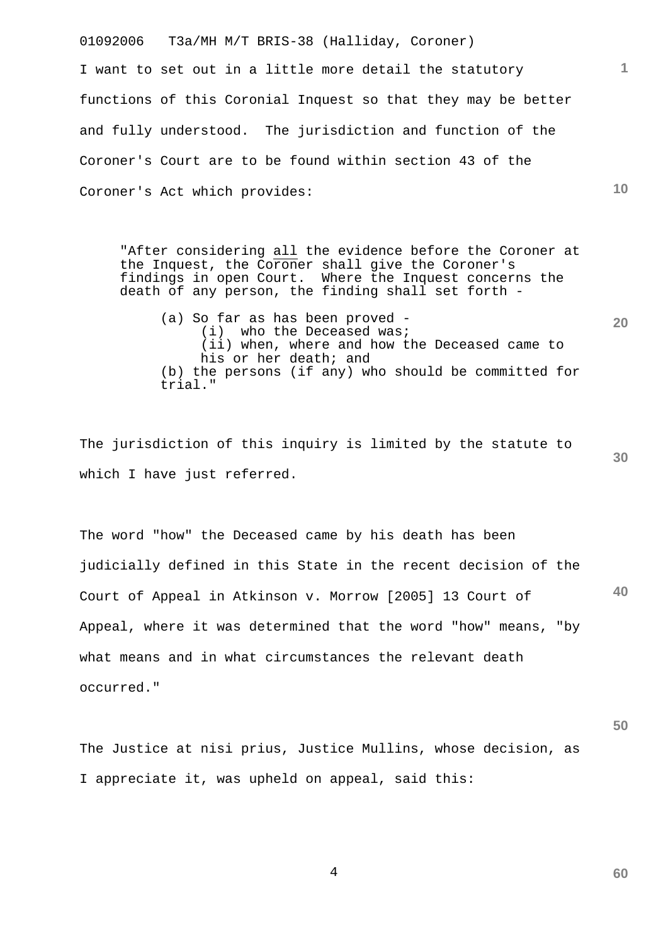01092006 T3a/MH M/T BRIS-38 (Halliday, Coroner) I want to set out in a little more detail the statutory functions of this Coronial Inquest so that they may be better and fully understood. The jurisdiction and function of the Coroner's Court are to be found within section 43 of the Coroner's Act which provides:

"After considering all the evidence before the Coroner at the Inquest, the Coroner shall give the Coroner's findings in open Court. Where the Inquest concerns the death of any person, the finding shall set forth -

(a) So far as has been proved - (i) who the Deceased was; (ii) when, where and how the Deceased came to his or her death; and (b) the persons (if any) who should be committed for trial."

The jurisdiction of this inquiry is limited by the statute to which I have just referred.

**40** The word "how" the Deceased came by his death has been judicially defined in this State in the recent decision of the Court of Appeal in Atkinson v. Morrow [2005] 13 Court of Appeal, where it was determined that the word "how" means, "by what means and in what circumstances the relevant death occurred."

The Justice at nisi prius, Justice Mullins, whose decision, as I appreciate it, was upheld on appeal, said this:

4

**60**

**50**

**10**

**1**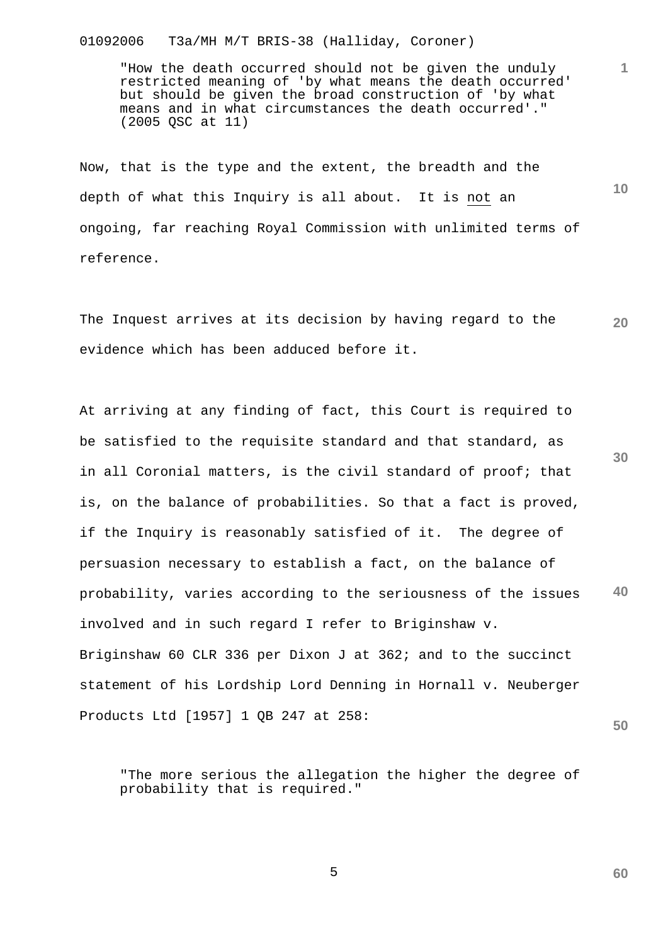"How the death occurred should not be given the unduly restricted meaning of 'by what means the death occurred' but should be given the broad construction of 'by what means and in what circumstances the death occurred'." (2005 QSC at 11)

**1**

**10**

**60**

Now, that is the type and the extent, the breadth and the depth of what this Inquiry is all about. It is not an ongoing, far reaching Royal Commission with unlimited terms of reference.

**20** The Inquest arrives at its decision by having regard to the evidence which has been adduced before it.

**30 40 50** At arriving at any finding of fact, this Court is required to be satisfied to the requisite standard and that standard, as in all Coronial matters, is the civil standard of proof; that is, on the balance of probabilities. So that a fact is proved, if the Inquiry is reasonably satisfied of it. The degree of persuasion necessary to establish a fact, on the balance of probability, varies according to the seriousness of the issues involved and in such regard I refer to Briginshaw v. Briginshaw 60 CLR 336 per Dixon J at 362; and to the succinct statement of his Lordship Lord Denning in Hornall v. Neuberger Products Ltd [1957] 1 QB 247 at 258:

"The more serious the allegation the higher the degree of probability that is required."

 $\sim$  5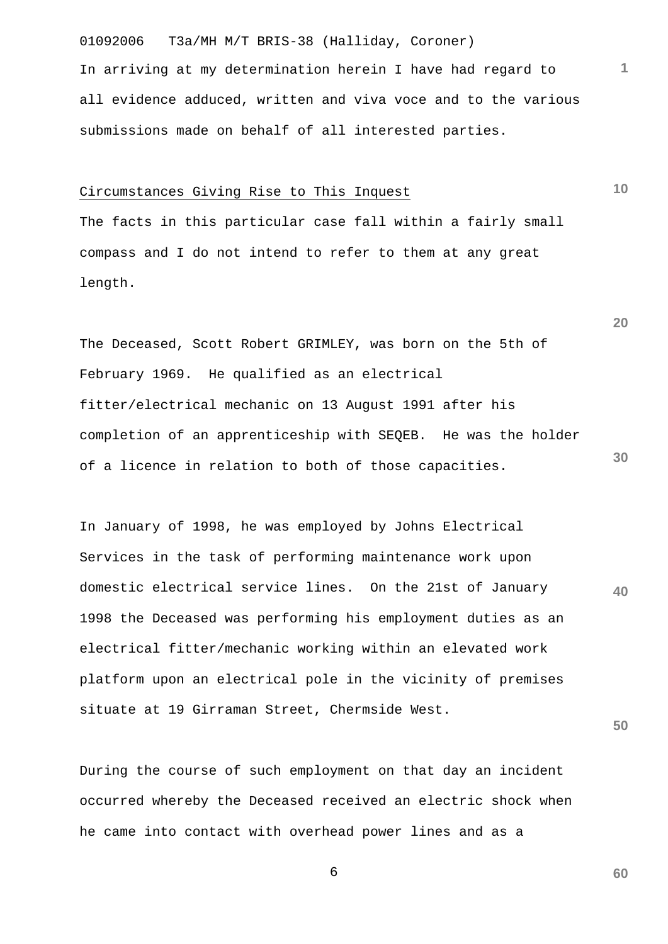01092006 T3a/MH M/T BRIS-38 (Halliday, Coroner) In arriving at my determination herein I have had regard to all evidence adduced, written and viva voce and to the various submissions made on behalf of all interested parties.

#### Circumstances Giving Rise to This Inquest

The facts in this particular case fall within a fairly small compass and I do not intend to refer to them at any great length.

The Deceased, Scott Robert GRIMLEY, was born on the 5th of February 1969. He qualified as an electrical fitter/electrical mechanic on 13 August 1991 after his completion of an apprenticeship with SEQEB. He was the holder of a licence in relation to both of those capacities.

**40** In January of 1998, he was employed by Johns Electrical Services in the task of performing maintenance work upon domestic electrical service lines. On the 21st of January 1998 the Deceased was performing his employment duties as an electrical fitter/mechanic working within an elevated work platform upon an electrical pole in the vicinity of premises situate at 19 Girraman Street, Chermside West.

During the course of such employment on that day an incident occurred whereby the Deceased received an electric shock when he came into contact with overhead power lines and as a

 $\sim$  6

**60**

**50**

**10**

**1**

**20**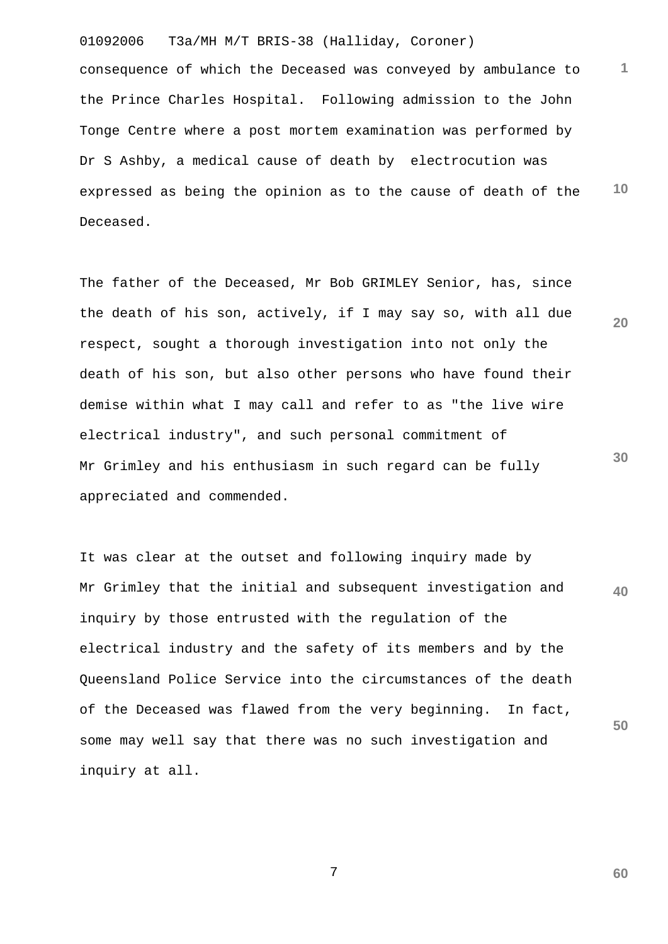01092006 T3a/MH M/T BRIS-38 (Halliday, Coroner) **1 10** consequence of which the Deceased was conveyed by ambulance to the Prince Charles Hospital. Following admission to the John Tonge Centre where a post mortem examination was performed by Dr S Ashby, a medical cause of death by electrocution was expressed as being the opinion as to the cause of death of the Deceased.

The father of the Deceased, Mr Bob GRIMLEY Senior, has, since the death of his son, actively, if I may say so, with all due respect, sought a thorough investigation into not only the death of his son, but also other persons who have found their demise within what I may call and refer to as "the live wire electrical industry", and such personal commitment of Mr Grimley and his enthusiasm in such regard can be fully appreciated and commended.

**40 50** It was clear at the outset and following inquiry made by Mr Grimley that the initial and subsequent investigation and inquiry by those entrusted with the regulation of the electrical industry and the safety of its members and by the Queensland Police Service into the circumstances of the death of the Deceased was flawed from the very beginning. In fact, some may well say that there was no such investigation and inquiry at all.

7

**60**

**20**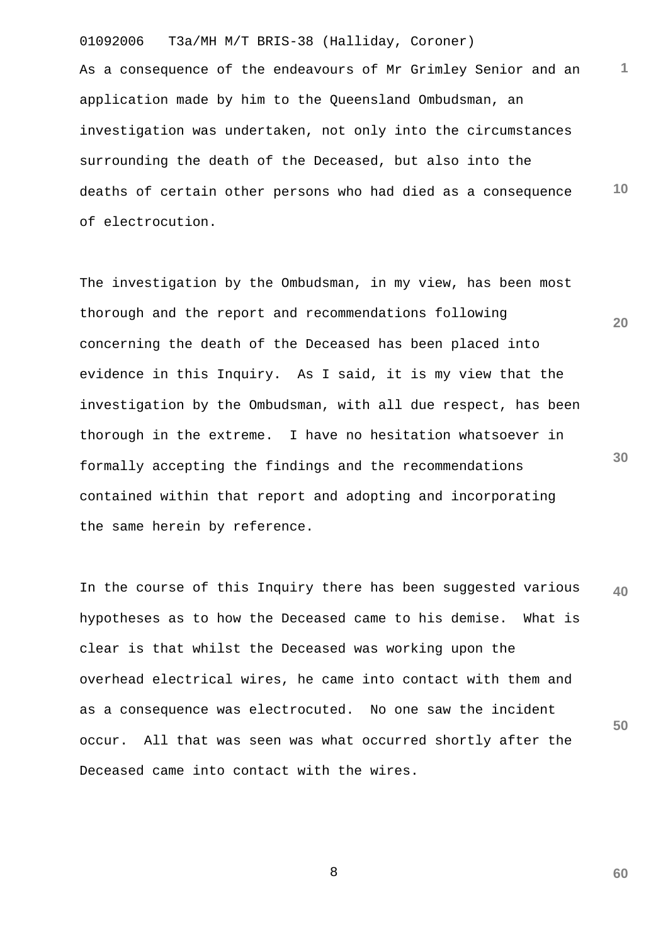**1 10** As a consequence of the endeavours of Mr Grimley Senior and an application made by him to the Queensland Ombudsman, an investigation was undertaken, not only into the circumstances surrounding the death of the Deceased, but also into the deaths of certain other persons who had died as a consequence of electrocution.

**20 30** The investigation by the Ombudsman, in my view, has been most thorough and the report and recommendations following concerning the death of the Deceased has been placed into evidence in this Inquiry. As I said, it is my view that the investigation by the Ombudsman, with all due respect, has been thorough in the extreme. I have no hesitation whatsoever in formally accepting the findings and the recommendations contained within that report and adopting and incorporating the same herein by reference.

**40 50** In the course of this Inquiry there has been suggested various hypotheses as to how the Deceased came to his demise. What is clear is that whilst the Deceased was working upon the overhead electrical wires, he came into contact with them and as a consequence was electrocuted. No one saw the incident occur. All that was seen was what occurred shortly after the Deceased came into contact with the wires.

8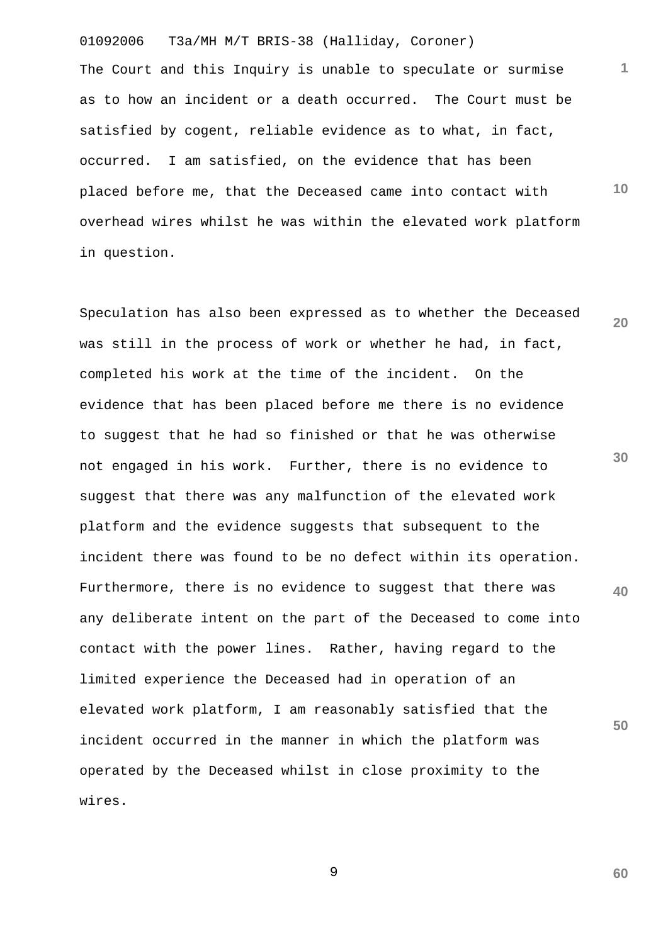01092006 T3a/MH M/T BRIS-38 (Halliday, Coroner) The Court and this Inquiry is unable to speculate or surmise as to how an incident or a death occurred. The Court must be satisfied by cogent, reliable evidence as to what, in fact, occurred. I am satisfied, on the evidence that has been placed before me, that the Deceased came into contact with overhead wires whilst he was within the elevated work platform in question.

**20 30 40 50** Speculation has also been expressed as to whether the Deceased was still in the process of work or whether he had, in fact, completed his work at the time of the incident. On the evidence that has been placed before me there is no evidence to suggest that he had so finished or that he was otherwise not engaged in his work. Further, there is no evidence to suggest that there was any malfunction of the elevated work platform and the evidence suggests that subsequent to the incident there was found to be no defect within its operation. Furthermore, there is no evidence to suggest that there was any deliberate intent on the part of the Deceased to come into contact with the power lines. Rather, having regard to the limited experience the Deceased had in operation of an elevated work platform, I am reasonably satisfied that the incident occurred in the manner in which the platform was operated by the Deceased whilst in close proximity to the wires.

9

**60**

**1**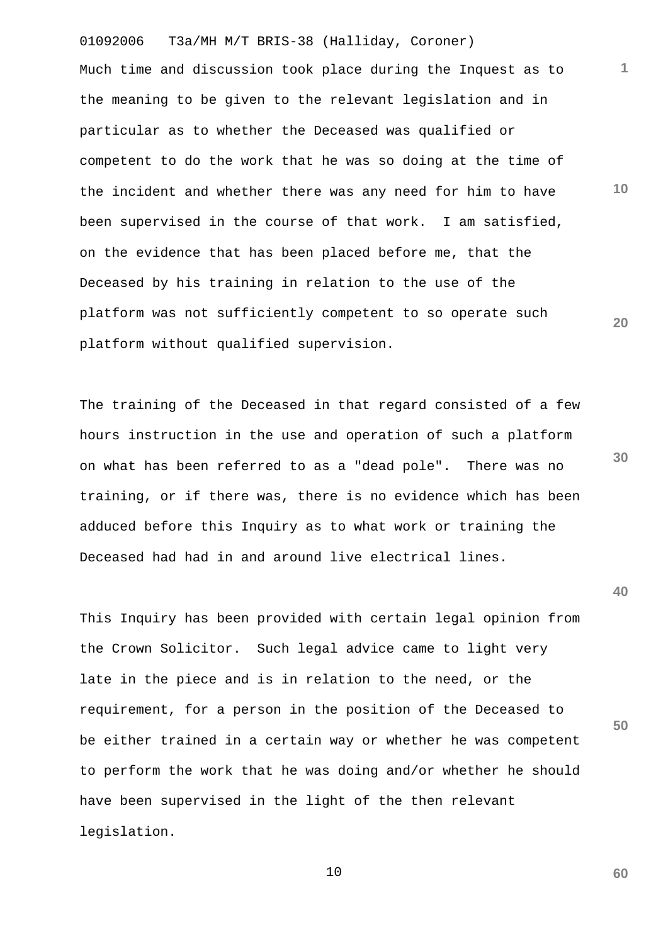01092006 T3a/MH M/T BRIS-38 (Halliday, Coroner) **10 20** Much time and discussion took place during the Inquest as to the meaning to be given to the relevant legislation and in particular as to whether the Deceased was qualified or competent to do the work that he was so doing at the time of the incident and whether there was any need for him to have been supervised in the course of that work. I am satisfied, on the evidence that has been placed before me, that the Deceased by his training in relation to the use of the platform was not sufficiently competent to so operate such platform without qualified supervision.

The training of the Deceased in that regard consisted of a few hours instruction in the use and operation of such a platform on what has been referred to as a "dead pole". There was no training, or if there was, there is no evidence which has been adduced before this Inquiry as to what work or training the Deceased had had in and around live electrical lines.

This Inquiry has been provided with certain legal opinion from the Crown Solicitor. Such legal advice came to light very late in the piece and is in relation to the need, or the requirement, for a person in the position of the Deceased to be either trained in a certain way or whether he was competent to perform the work that he was doing and/or whether he should have been supervised in the light of the then relevant legislation.

10

**40**

**30**

**1**

**50**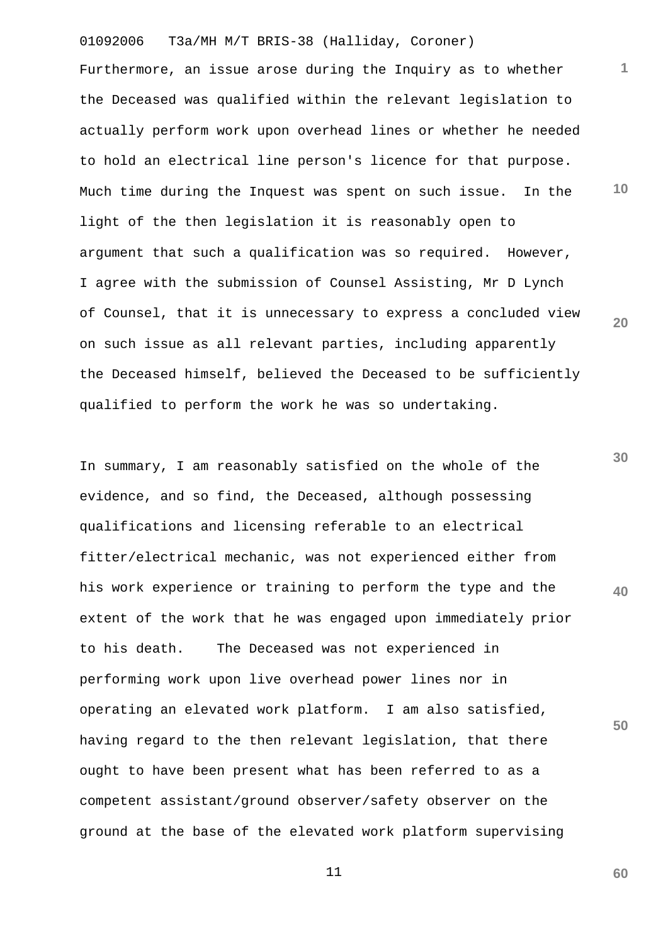01092006 T3a/MH M/T BRIS-38 (Halliday, Coroner) **1 10 20** Furthermore, an issue arose during the Inquiry as to whether the Deceased was qualified within the relevant legislation to actually perform work upon overhead lines or whether he needed to hold an electrical line person's licence for that purpose. Much time during the Inquest was spent on such issue. In the light of the then legislation it is reasonably open to argument that such a qualification was so required. However, I agree with the submission of Counsel Assisting, Mr D Lynch of Counsel, that it is unnecessary to express a concluded view on such issue as all relevant parties, including apparently the Deceased himself, believed the Deceased to be sufficiently qualified to perform the work he was so undertaking.

**30 40 50** In summary, I am reasonably satisfied on the whole of the evidence, and so find, the Deceased, although possessing qualifications and licensing referable to an electrical fitter/electrical mechanic, was not experienced either from his work experience or training to perform the type and the extent of the work that he was engaged upon immediately prior to his death. The Deceased was not experienced in performing work upon live overhead power lines nor in operating an elevated work platform. I am also satisfied, having regard to the then relevant legislation, that there ought to have been present what has been referred to as a competent assistant/ground observer/safety observer on the ground at the base of the elevated work platform supervising

11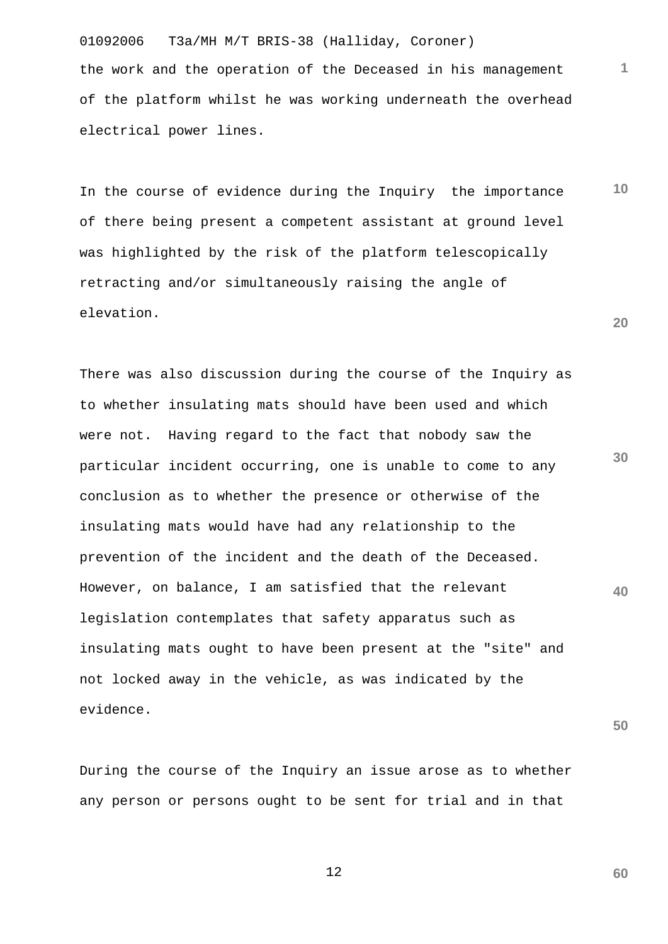01092006 T3a/MH M/T BRIS-38 (Halliday, Coroner) the work and the operation of the Deceased in his management of the platform whilst he was working underneath the overhead electrical power lines.

**10 20** In the course of evidence during the Inquiry the importance of there being present a competent assistant at ground level was highlighted by the risk of the platform telescopically retracting and/or simultaneously raising the angle of elevation.

**30 40** There was also discussion during the course of the Inquiry as to whether insulating mats should have been used and which were not. Having regard to the fact that nobody saw the particular incident occurring, one is unable to come to any conclusion as to whether the presence or otherwise of the insulating mats would have had any relationship to the prevention of the incident and the death of the Deceased. However, on balance, I am satisfied that the relevant legislation contemplates that safety apparatus such as insulating mats ought to have been present at the "site" and not locked away in the vehicle, as was indicated by the evidence.

During the course of the Inquiry an issue arose as to whether any person or persons ought to be sent for trial and in that

12

**60**

**50**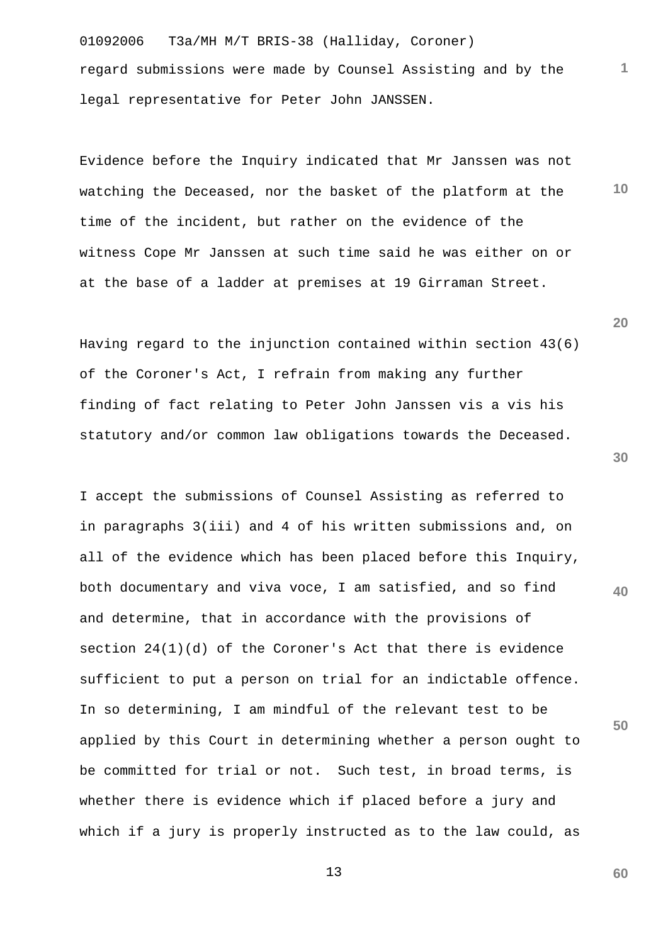01092006 T3a/MH M/T BRIS-38 (Halliday, Coroner) regard submissions were made by Counsel Assisting and by the legal representative for Peter John JANSSEN.

**10** Evidence before the Inquiry indicated that Mr Janssen was not watching the Deceased, nor the basket of the platform at the time of the incident, but rather on the evidence of the witness Cope Mr Janssen at such time said he was either on or at the base of a ladder at premises at 19 Girraman Street.

Having regard to the injunction contained within section 43(6) of the Coroner's Act, I refrain from making any further finding of fact relating to Peter John Janssen vis a vis his statutory and/or common law obligations towards the Deceased.

I accept the submissions of Counsel Assisting as referred to in paragraphs 3(iii) and 4 of his written submissions and, on all of the evidence which has been placed before this Inquiry, both documentary and viva voce, I am satisfied, and so find and determine, that in accordance with the provisions of section  $24(1)(d)$  of the Coroner's Act that there is evidence sufficient to put a person on trial for an indictable offence. In so determining, I am mindful of the relevant test to be applied by this Court in determining whether a person ought to be committed for trial or not. Such test, in broad terms, is whether there is evidence which if placed before a jury and which if a jury is properly instructed as to the law could, as

**20**

**1**

**30**

**40**

**50**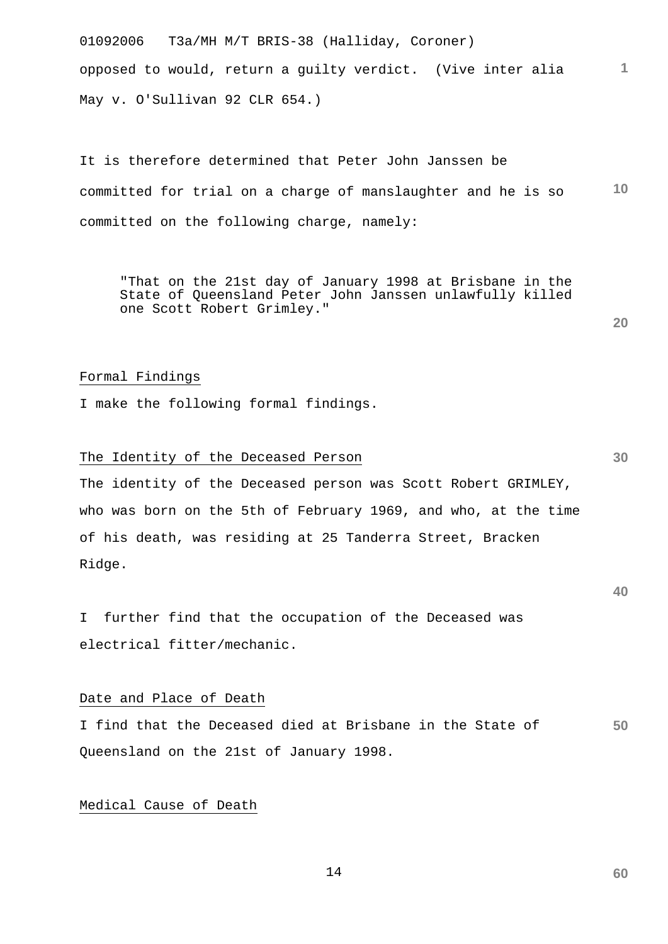01092006 T3a/MH M/T BRIS-38 (Halliday, Coroner) **1** opposed to would, return a guilty verdict. (Vive inter alia May v. O'Sullivan 92 CLR 654.)

**10** It is therefore determined that Peter John Janssen be committed for trial on a charge of manslaughter and he is so committed on the following charge, namely:

"That on the 21st day of January 1998 at Brisbane in the State of Queensland Peter John Janssen unlawfully killed one Scott Robert Grimley."

## Formal Findings

I make the following formal findings.

## The Identity of the Deceased Person

The identity of the Deceased person was Scott Robert GRIMLEY, who was born on the 5th of February 1969, and who, at the time of his death, was residing at 25 Tanderra Street, Bracken Ridge.

I further find that the occupation of the Deceased was electrical fitter/mechanic.

#### Date and Place of Death

**50** I find that the Deceased died at Brisbane in the State of Queensland on the 21st of January 1998.

## Medical Cause of Death

14

**20**

**60**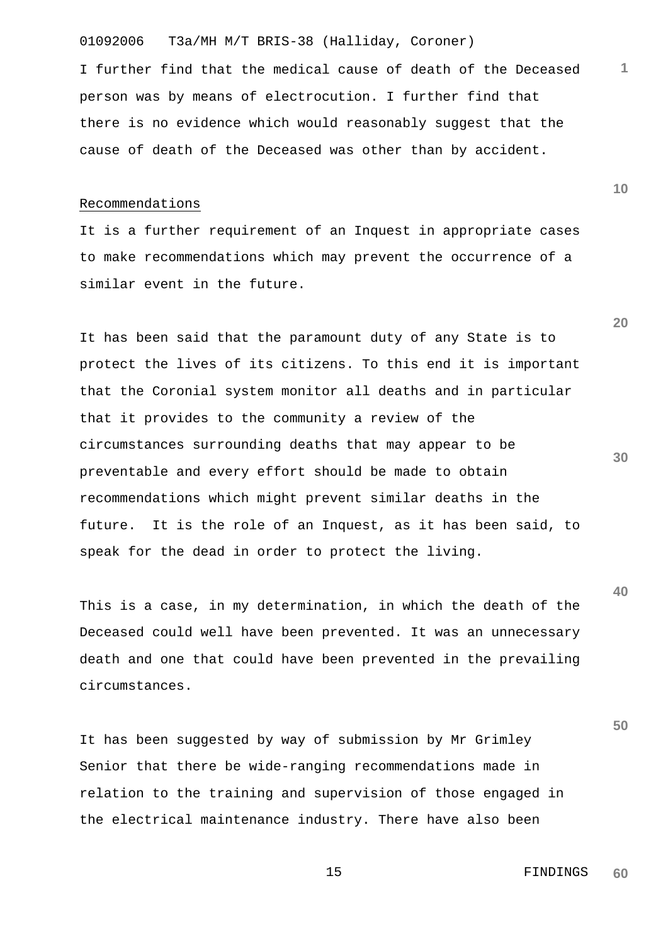I further find that the medical cause of death of the Deceased person was by means of electrocution. I further find that there is no evidence which would reasonably suggest that the cause of death of the Deceased was other than by accident.

#### Recommendations

It is a further requirement of an Inquest in appropriate cases to make recommendations which may prevent the occurrence of a similar event in the future.

It has been said that the paramount duty of any State is to protect the lives of its citizens. To this end it is important that the Coronial system monitor all deaths and in particular that it provides to the community a review of the circumstances surrounding deaths that may appear to be preventable and every effort should be made to obtain recommendations which might prevent similar deaths in the future. It is the role of an Inquest, as it has been said, to speak for the dead in order to protect the living.

This is a case, in my determination, in which the death of the Deceased could well have been prevented. It was an unnecessary death and one that could have been prevented in the prevailing circumstances.

It has been suggested by way of submission by Mr Grimley Senior that there be wide-ranging recommendations made in relation to the training and supervision of those engaged in the electrical maintenance industry. There have also been

**10**

**1**

**20**

**30**

**40**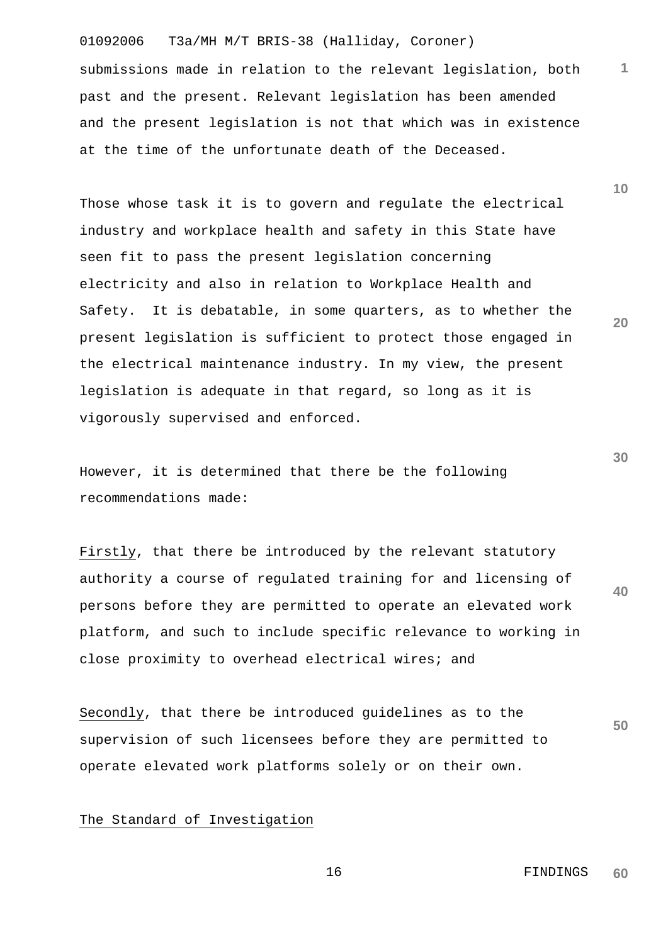submissions made in relation to the relevant legislation, both past and the present. Relevant legislation has been amended and the present legislation is not that which was in existence at the time of the unfortunate death of the Deceased.

Those whose task it is to govern and regulate the electrical industry and workplace health and safety in this State have seen fit to pass the present legislation concerning electricity and also in relation to Workplace Health and Safety. It is debatable, in some quarters, as to whether the present legislation is sufficient to protect those engaged in the electrical maintenance industry. In my view, the present legislation is adequate in that regard, so long as it is vigorously supervised and enforced.

However, it is determined that there be the following recommendations made:

**40** Firstly, that there be introduced by the relevant statutory authority a course of regulated training for and licensing of persons before they are permitted to operate an elevated work platform, and such to include specific relevance to working in close proximity to overhead electrical wires; and

**50** Secondly, that there be introduced guidelines as to the supervision of such licensees before they are permitted to operate elevated work platforms solely or on their own.

## The Standard of Investigation

 16 FINDINGS **60**

**30**

**20**

**10**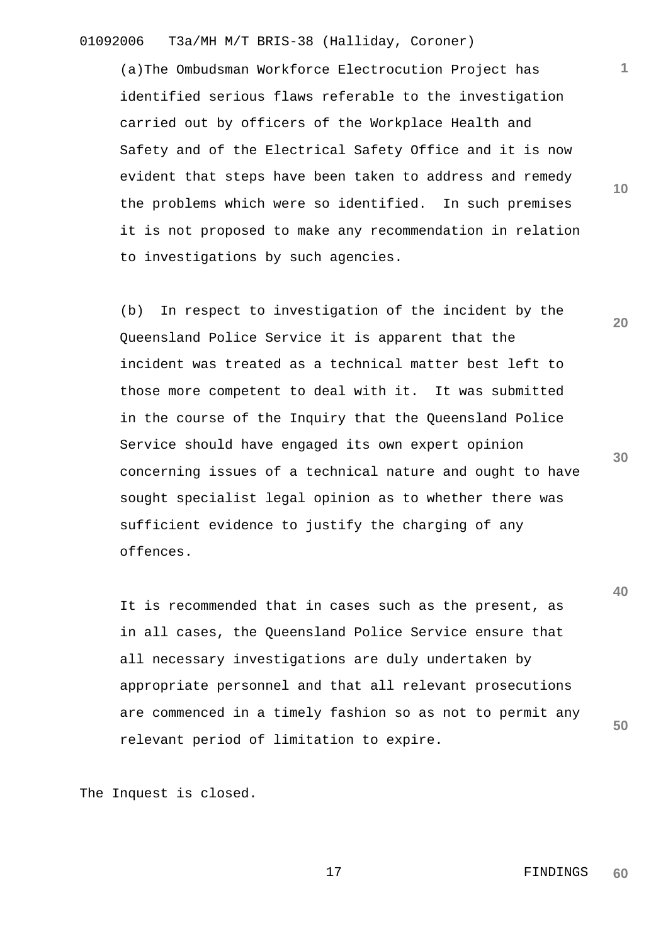(a)The Ombudsman Workforce Electrocution Project has identified serious flaws referable to the investigation carried out by officers of the Workplace Health and Safety and of the Electrical Safety Office and it is now evident that steps have been taken to address and remedy the problems which were so identified. In such premises it is not proposed to make any recommendation in relation to investigations by such agencies.

(b) In respect to investigation of the incident by the Queensland Police Service it is apparent that the incident was treated as a technical matter best left to those more competent to deal with it. It was submitted in the course of the Inquiry that the Queensland Police Service should have engaged its own expert opinion concerning issues of a technical nature and ought to have sought specialist legal opinion as to whether there was sufficient evidence to justify the charging of any offences.

It is recommended that in cases such as the present, as in all cases, the Queensland Police Service ensure that all necessary investigations are duly undertaken by appropriate personnel and that all relevant prosecutions are commenced in a timely fashion so as not to permit any relevant period of limitation to expire.

The Inquest is closed.

 17 FINDINGS **60**

**10**

**1**

**30**

**20**

**40**